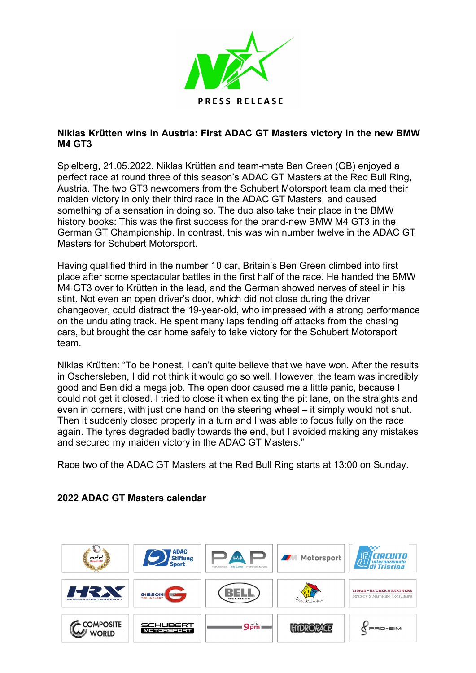

## **Niklas Krütten wins in Austria: First ADAC GT Masters victory in the new BMW M4 GT3**

Spielberg, 21.05.2022. Niklas Krütten and team-mate Ben Green (GB) enjoyed a perfect race at round three of this season's ADAC GT Masters at the Red Bull Ring, Austria. The two GT3 newcomers from the Schubert Motorsport team claimed their maiden victory in only their third race in the ADAC GT Masters, and caused something of a sensation in doing so. The duo also take their place in the BMW history books: This was the first success for the brand-new BMW M4 GT3 in the German GT Championship. In contrast, this was win number twelve in the ADAC GT Masters for Schubert Motorsport.

Having qualified third in the number 10 car, Britain's Ben Green climbed into first place after some spectacular battles in the first half of the race. He handed the BMW M4 GT3 over to Krütten in the lead, and the German showed nerves of steel in his stint. Not even an open driver's door, which did not close during the driver changeover, could distract the 19-year-old, who impressed with a strong performance on the undulating track. He spent many laps fending off attacks from the chasing cars, but brought the car home safely to take victory for the Schubert Motorsport team.

Niklas Krütten: "To be honest, I can't quite believe that we have won. After the results in Oschersleben, I did not think it would go so well. However, the team was incredibly good and Ben did a mega job. The open door caused me a little panic, because I could not get it closed. I tried to close it when exiting the pit lane, on the straights and even in corners, with just one hand on the steering wheel – it simply would not shut. Then it suddenly closed properly in a turn and I was able to focus fully on the race again. The tyres degraded badly towards the end, but I avoided making any mistakes and secured my maiden victory in the ADAC GT Masters."

Race two of the ADAC GT Masters at the Red Bull Ring starts at 13:00 on Sunday.



## **2022 ADAC GT Masters calendar**